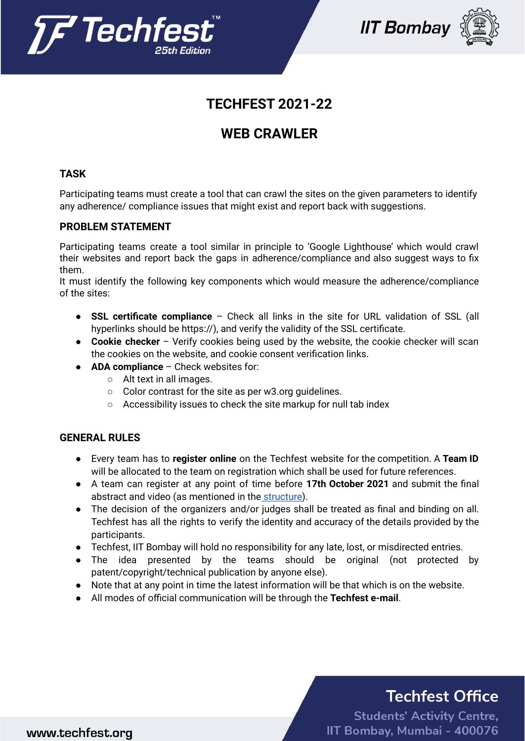



## **TECHFEST 2021-22**

## **WEB CRAWLER**

### **TASK**

Participating teams must create a tool that can crawl the sites on the given parameters to identify any adherence/ compliance issues that might exist and report back with suggestions.

### **PROBLEM STATEMENT**

Participating teams create a tool similar in principle to 'Google Lighthouse' which would crawl their websites and report back the gaps in adherence/compliance and also suggest ways to fix them.

It must identify the following key components which would measure the adherence/compliance of the sites:

- **SSL certificate compliance** Check all links in the site for URL validation of SSL (all hyperlinks should be https://), and verify the validity of the SSL certificate.
- **Cookie checker** Verify cookies being used by the website, the cookie checker will scan the cookies on the website, and cookie consent verification links.
- **ADA compliance** Check websites for:
	- Alt text in all images.
	- Color contrast for the site as per w3.org guidelines.
	- Accessibility issues to check the site markup for null tab index

### **GENERAL RULES**

- Every team has to **register online** on the Techfest website for the competition. A **Team ID** will be allocated to the team on registration which shall be used for future references.
- A team can register at any point of time before **17th October 2021** and submit the final abstract and video (as mentioned in the structure).
- The decision of the organizers and/or judges shall be treated as final and binding on all. Techfest has all the rights to verify the identity and accuracy of the details provided by the participants.
- Techfest, IIT Bombay will hold no responsibility for any late, lost, or misdirected entries.
- The idea presented by the teams should be original (not protected by patent/copyright/technical publication by anyone else).
- Note that at any point in time the latest information will be that which is on the website.
- All modes of official communication will be through the **Techfest e-mail**.

# **Techfest Office**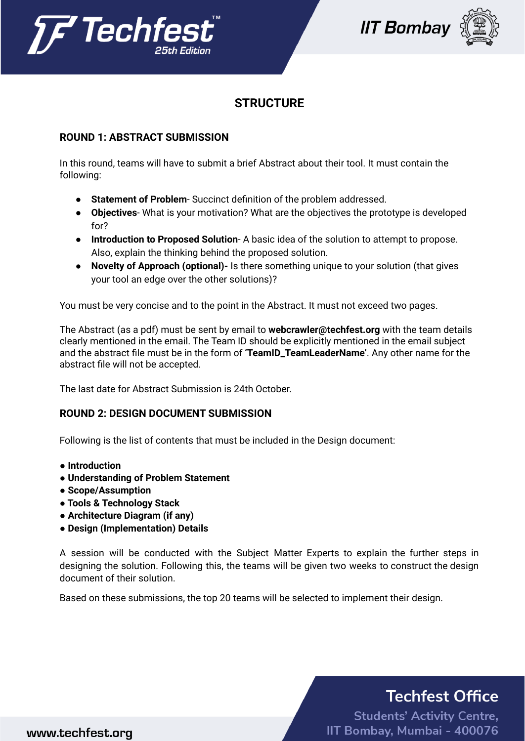





### **STRUCTURE**

### **ROUND 1: ABSTRACT SUBMISSION**

In this round, teams will have to submit a brief Abstract about their tool. It must contain the following:

- **Statement of Problem** Succinct definition of the problem addressed.
- **Objectives** What is your motivation? What are the objectives the prototype is developed for?
- **Introduction to Proposed Solution** A basic idea of the solution to attempt to propose. Also, explain the thinking behind the proposed solution.
- **Novelty of Approach (optional)-** Is there something unique to your solution (that gives your tool an edge over the other solutions)?

You must be very concise and to the point in the Abstract. It must not exceed two pages.

The Abstract (as a pdf) must be sent by email to **webcrawler@techfest.org** with the team details clearly mentioned in the email. The Team ID should be explicitly mentioned in the email subject and the abstract file must be in the form of **'TeamID\_TeamLeaderName'**. Any other name for the abstract file will not be accepted.

The last date for Abstract Submission is 24th October.

#### **ROUND 2: DESIGN DOCUMENT SUBMISSION**

Following is the list of contents that must be included in the Design document:

- **● Introduction**
- **● Understanding of Problem Statement**
- **● Scope/Assumption**
- **● Tools & Technology Stack**
- **● Architecture Diagram (if any)**
- **● Design (Implementation) Details**

A session will be conducted with the Subject Matter Experts to explain the further steps in designing the solution. Following this, the teams will be given two weeks to construct the design document of their solution.

Based on these submissions, the top 20 teams will be selected to implement their design.

# **Techfest Office**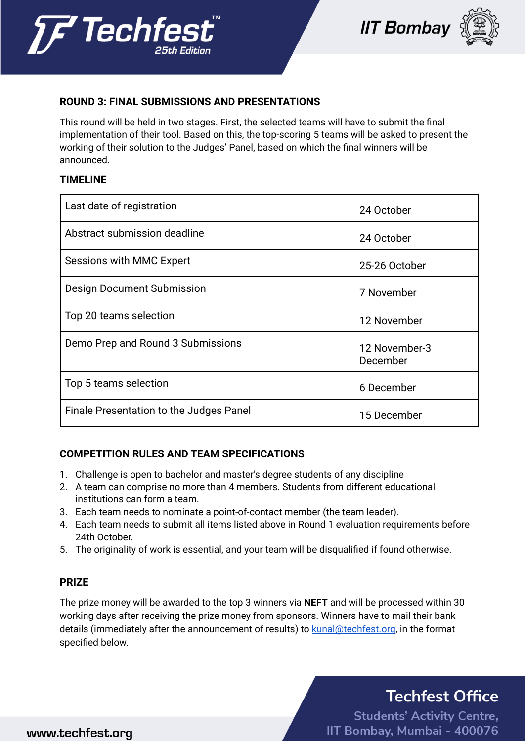





### **ROUND 3: FINAL SUBMISSIONS AND PRESENTATIONS**

This round will be held in two stages. First, the selected teams will have to submit the final implementation of their tool. Based on this, the top-scoring 5 teams will be asked to present the working of their solution to the Judges' Panel, based on which the final winners will be announced.

#### **TIMELINE**

| Last date of registration               | 24 October                |
|-----------------------------------------|---------------------------|
| Abstract submission deadline            | 24 October                |
| <b>Sessions with MMC Expert</b>         | 25-26 October             |
| Design Document Submission              | 7 November                |
| Top 20 teams selection                  | 12 November               |
| Demo Prep and Round 3 Submissions       | 12 November-3<br>December |
| Top 5 teams selection                   | 6 December                |
| Finale Presentation to the Judges Panel | 15 December               |

### **COMPETITION RULES AND TEAM SPECIFICATIONS**

- 1. Challenge is open to bachelor and master's degree students of any discipline
- 2. A team can comprise no more than 4 members. Students from different educational institutions can form a team.
- 3. Each team needs to nominate a point-of-contact member (the team leader).
- 4. Each team needs to submit all items listed above in Round 1 evaluation requirements before 24th October.
- 5. The originality of work is essential, and your team will be disqualified if found otherwise.

#### **PRIZE**

The prize money will be awarded to the top 3 winners via **NEFT** and will be processed within 30 working days after receiving the prize money from sponsors. Winners have to mail their bank details (immediately after the announcement of results) to [kunal@techfest.org](mailto:kunal@techfest.org), in the format specified below.

# **Techfest Office**